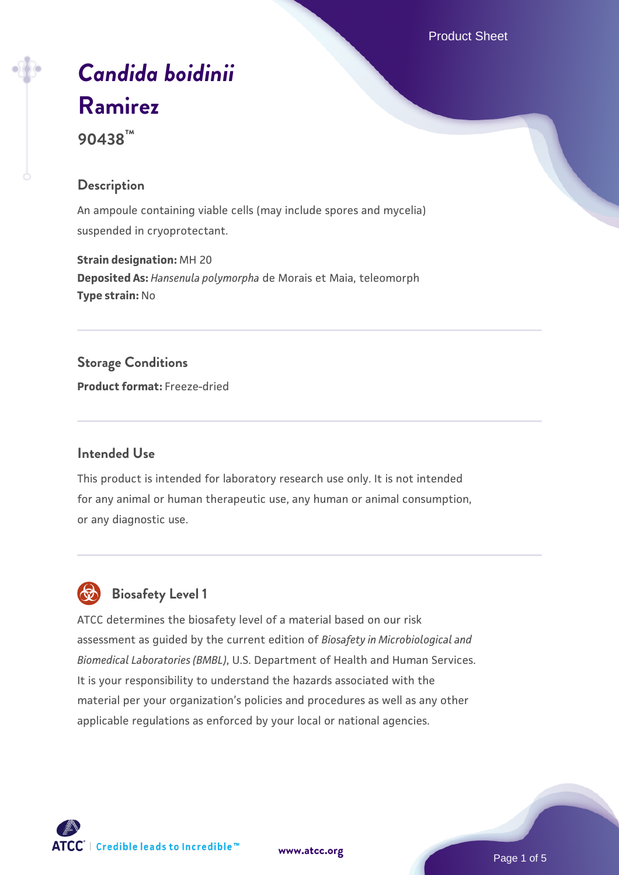Product Sheet

# *[Candida boidinii](https://www.atcc.org/products/90438)* **[Ramirez](https://www.atcc.org/products/90438)**

**90438™**

# **Description**

An ampoule containing viable cells (may include spores and mycelia) suspended in cryoprotectant.

**Strain designation:** MH 20 **Deposited As:** *Hansenula polymorpha* de Morais et Maia, teleomorph **Type strain:** No

# **Storage Conditions**

**Product format:** Freeze-dried

# **Intended Use**

This product is intended for laboratory research use only. It is not intended for any animal or human therapeutic use, any human or animal consumption, or any diagnostic use.

# **Biosafety Level 1**

ATCC determines the biosafety level of a material based on our risk assessment as guided by the current edition of *Biosafety in Microbiological and Biomedical Laboratories (BMBL)*, U.S. Department of Health and Human Services. It is your responsibility to understand the hazards associated with the material per your organization's policies and procedures as well as any other applicable regulations as enforced by your local or national agencies.

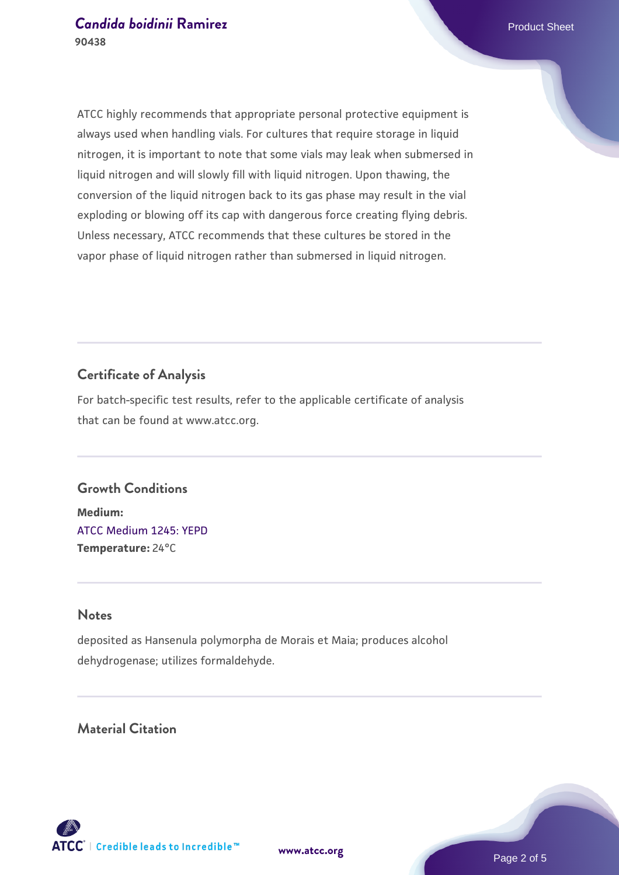ATCC highly recommends that appropriate personal protective equipment is always used when handling vials. For cultures that require storage in liquid nitrogen, it is important to note that some vials may leak when submersed in liquid nitrogen and will slowly fill with liquid nitrogen. Upon thawing, the conversion of the liquid nitrogen back to its gas phase may result in the vial exploding or blowing off its cap with dangerous force creating flying debris. Unless necessary, ATCC recommends that these cultures be stored in the vapor phase of liquid nitrogen rather than submersed in liquid nitrogen.

### **Certificate of Analysis**

For batch-specific test results, refer to the applicable certificate of analysis that can be found at www.atcc.org.

#### **Growth Conditions**

**Medium:**  [ATCC Medium 1245: YEPD](https://www.atcc.org/-/media/product-assets/documents/microbial-media-formulations/1/2/4/5/atcc-medium-1245.pdf?rev=705ca55d1b6f490a808a965d5c072196) **Temperature:** 24°C

#### **Notes**

deposited as Hansenula polymorpha de Morais et Maia; produces alcohol dehydrogenase; utilizes formaldehyde.

# **Material Citation**

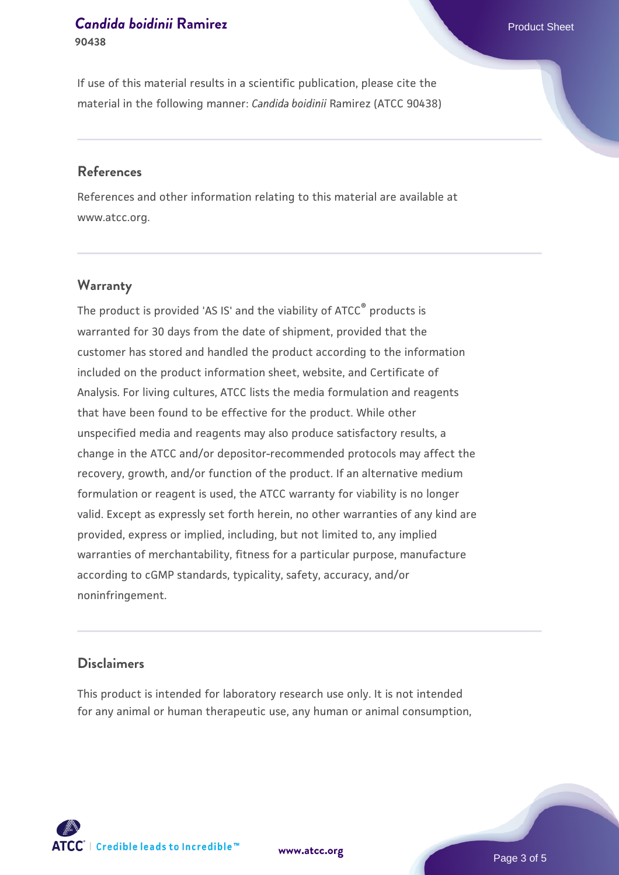#### **[Candida boidinii](https://www.atcc.org/products/90438) [Ramirez](https://www.atcc.org/products/90438) Product Sheet** Product Sheet **90438**

If use of this material results in a scientific publication, please cite the material in the following manner: *Candida boidinii* Ramirez (ATCC 90438)

#### **References**

References and other information relating to this material are available at www.atcc.org.

#### **Warranty**

The product is provided 'AS IS' and the viability of  $ATCC<sup>®</sup>$  products is warranted for 30 days from the date of shipment, provided that the customer has stored and handled the product according to the information included on the product information sheet, website, and Certificate of Analysis. For living cultures, ATCC lists the media formulation and reagents that have been found to be effective for the product. While other unspecified media and reagents may also produce satisfactory results, a change in the ATCC and/or depositor-recommended protocols may affect the recovery, growth, and/or function of the product. If an alternative medium formulation or reagent is used, the ATCC warranty for viability is no longer valid. Except as expressly set forth herein, no other warranties of any kind are provided, express or implied, including, but not limited to, any implied warranties of merchantability, fitness for a particular purpose, manufacture according to cGMP standards, typicality, safety, accuracy, and/or noninfringement.

#### **Disclaimers**

This product is intended for laboratory research use only. It is not intended for any animal or human therapeutic use, any human or animal consumption,

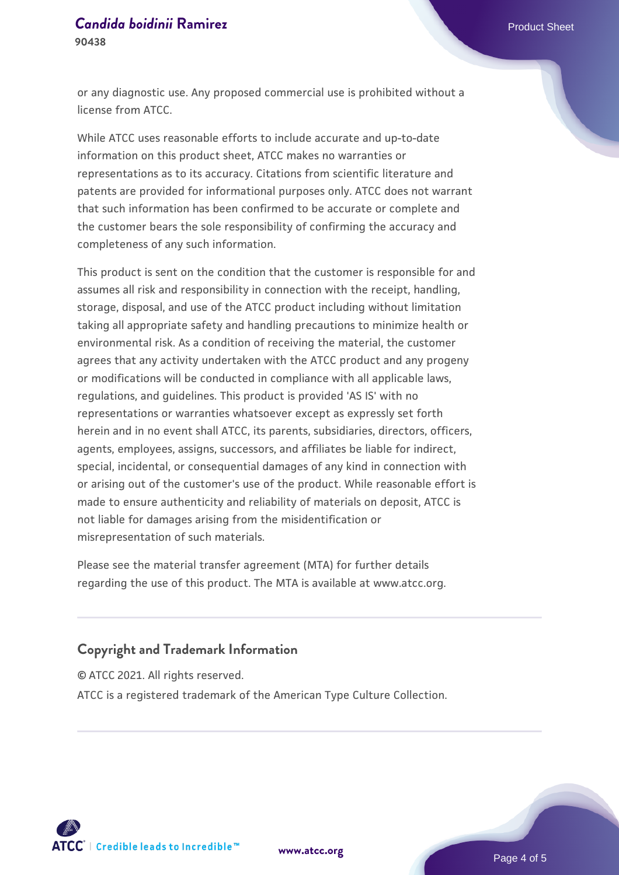#### **[Candida boidinii](https://www.atcc.org/products/90438) [Ramirez](https://www.atcc.org/products/90438) Product Sheet** Product Sheet **90438**

or any diagnostic use. Any proposed commercial use is prohibited without a license from ATCC.

While ATCC uses reasonable efforts to include accurate and up-to-date information on this product sheet, ATCC makes no warranties or representations as to its accuracy. Citations from scientific literature and patents are provided for informational purposes only. ATCC does not warrant that such information has been confirmed to be accurate or complete and the customer bears the sole responsibility of confirming the accuracy and completeness of any such information.

This product is sent on the condition that the customer is responsible for and assumes all risk and responsibility in connection with the receipt, handling, storage, disposal, and use of the ATCC product including without limitation taking all appropriate safety and handling precautions to minimize health or environmental risk. As a condition of receiving the material, the customer agrees that any activity undertaken with the ATCC product and any progeny or modifications will be conducted in compliance with all applicable laws, regulations, and guidelines. This product is provided 'AS IS' with no representations or warranties whatsoever except as expressly set forth herein and in no event shall ATCC, its parents, subsidiaries, directors, officers, agents, employees, assigns, successors, and affiliates be liable for indirect, special, incidental, or consequential damages of any kind in connection with or arising out of the customer's use of the product. While reasonable effort is made to ensure authenticity and reliability of materials on deposit, ATCC is not liable for damages arising from the misidentification or misrepresentation of such materials.

Please see the material transfer agreement (MTA) for further details regarding the use of this product. The MTA is available at www.atcc.org.

# **Copyright and Trademark Information**

© ATCC 2021. All rights reserved.

ATCC is a registered trademark of the American Type Culture Collection.



**[www.atcc.org](http://www.atcc.org)**